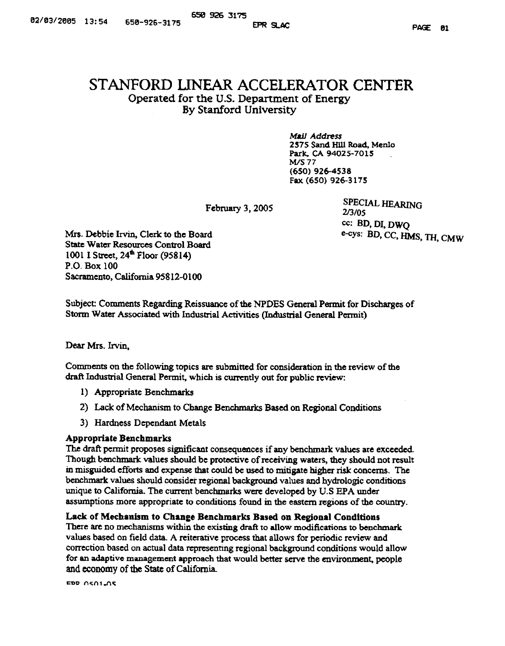# STANFORD LINEAR ACCELERATOR CENTER Operated for the U.S. Department of Energy By Stanford University

Mail Address 2575 Sand HUl Road, Menlo Park. CA 94025~701S WS77 (650) 926-4538 Fax (650) 926-3175

February 3, 2005

SPECIAL HEARING 2/3/05 cc: BD, OJ, DWQ e-cys: BD, CC, HMS, TH, CMW

Mrs. Debbie Irvin, Clerk to the Board **State Water Resources Control Board** 1001 I Street, 24<sup>th</sup> Floor (95814) P.O- Box 100 Sacramento, California 95812-0100

Subject: Comments Regarding Reissuance of the NPDES General Permit for Discharges of Storm Water Associated with Industrial Activities (Industrial General Permit)

Dear Mrs. Irvin.

Comments on the following topics are submitted for consideration in the review of fue draft Industrial General Permit, which is currently out for public review:

- I) Appropriate Benchmarks
- 2) Lack of Mecbanism to Change Benchmarks Based on Regional Conditions
- 3) Hardness Dependant Metals

## Appropriate Benchmarks

The draft permit proposes significant consequences if any benchmark values are exceeded. Though benchmark values should be protective of receiving waters, they should not result in misguided efforts and expense that could be used to mitigate higher risk concerns. The benchmark va1ues should consider xegional background values and hydrologic conditions unique to California. The current benchmarks were developed by U.S EPA under assumptions more appropriate to conditions found in the eastern regions of the country.

## Lack of Mechanism to Change Benchmarks Based on Regional Conditions

There are no mechanisms within the existing draft to allow modifications to benchmark values based on field data. A reiterative process that allows for periodic review and correction based on actual data representing regional background conditions would allow for an adaptive management approach that would better serve the environment. people and economy of the State of California.

FDR 0501.05